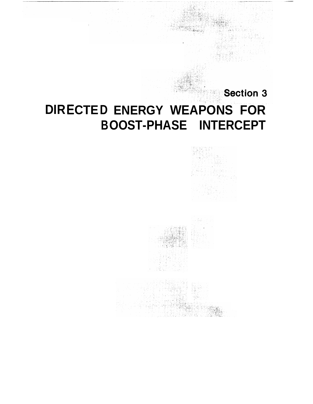# Section 3 **DIR CTED ENERGY WEAPONS FOR B OOST-PHASE INTERCEPT**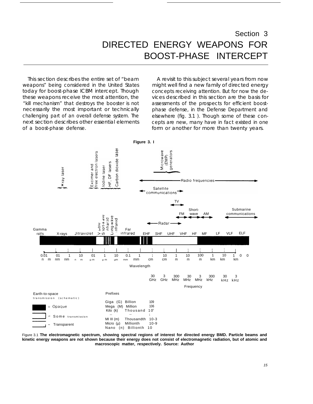## Section 3 DIRECTED ENERGY WEAPONS FOR BOOST-PHASE INTERCEPT

This section describes the entire set of "beam weapons" being considered in the United States today for boost-phase ICBM intercept. Though these weapons receive the most attention, the "kill mechanism" that destroys the booster is not necessarily the most important or technically challenging part of an overall defense system. The next section describes other essential elements of a boost-phase defense.

A revisit to this subject several years from now might well find a new family of directed energy concepts receiving attention. But for now the devices described in this section are the basis for assessments of the prospects for efficient boostphase defense, in the Defense Department and elsewhere (fig. 3.1 ). Though some of these concepts are new, many have in fact existed in one form or another for more than twenty years.



Figure 3.1 **The electromagnetic spectrum, showing spectral regions of interest for directed energy BMD. Particle beams and kinetic energy weapons are not shown because their energy does not consist of electromagnetic radiation, but of atomic and macroscopic matter, respectively. Source: Author**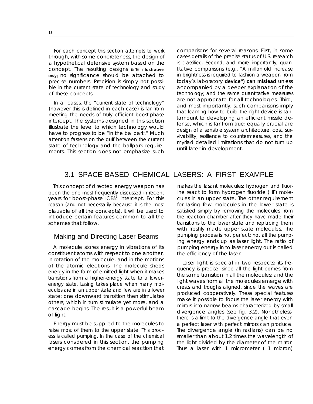For each concept this section attempts to work through, with some concreteness, the design of a hypothetical defensive system based on the concept. The resulting designs are **illustrative on/y;** no significance should be attached to precise numbers. Precision is simply not possible in the current state of technology and study of these concepts.

In all cases, the "current state of technology" (however this is defined in each case) is far from meeting the needs of truly efficient boost-phase intercept. The systems designed in this section illustrate the level to which technology would have to progress to be "in the ballpark." Much attention fastens on the gulf between the current state of technology and the ballpark requirements. This section does not emphasize such

comparisons for several reasons. First, in some cases details of the precise status of U.S. research is classified. Second, and more importantly, quantitative comparisons (e.g., "A millionfold increase in brightness is required to fashion a weapon from today's laboratory **device") can mislead** unless accompanied by a deeper explanation of the technology; and the same quantitative measures are not appropriate for all technologies. Third, and most importantly, such comparisons imply that learning how to build the right device is tantamount to developing an efficient missile defense, which is far from true: equally crucial are design of a sensible system architecture, cost, survivability, resilience to countermeasures, and the myriad detailed limitations that do not turn up until later in development.

## 3.1 SPACE-BASED CHEMICAL LASERS: A FIRST EXAMPLE

This concept of directed energy weapon has been the one most frequently discussed in recent years for boost-phase ICBM intercept. For this reason (and not necessarily because it is the most plausible of all the concepts), it will be used to introduce certain features common to all the schemes that follow.

## Making and Directing Laser Beams

A molecule stores energy in vibrations of its constituent atoms with respect to one another, in rotation of the molecule, and in the motions of the atomic electrons. The molecule sheds energy in the form of emitted light when it makes transitions from a higher-energy state to a lowerenergy state. Lasing takes place when many molecules are in an upper state and few are in a lower state: one downward transition then stimulates others, which in turn stimulate yet more, and a cascade begins. The result is a powerful beam of light.

Energy must be supplied to the molecules to raise most of them to the upper state. This process is called pumping. In the case of the chemical lasers considered in this section, the pumping energy comes from the chemical reaction that

makes the Iasant molecules: hydrogen and fluorine react to form hydrogen fluoride (HF) molecules in an upper state. The other requirement for Iasing–few molecules in the lower state–is satisfied simply by removing the molecules from the reaction chamber after they have made their transitions to the lower state and replacing them with freshly made upper state molecules. The pumping process is not perfect: not all the pumping energy ends up as laser light. The ratio of pumping energy in to laser energy out is called the efficiency of the laser.

Laser light is special in two respects: its frequency is precise, since all the light comes from the same transition in all the molecules; and the light waves from all the molecules emerge with crests and troughs aligned, since the waves are produced cooperatively. These special features make it possible to focus the laser energy with mirrors into narrow beams characterized by small divergence angles (see fig. 3.2). Nonetheless, there is a limit to the divergence angle that even a perfect laser with perfect mirrors can produce. The divergence angle (in radians) can be no smaller than about 1.2 times the wavelength of the light divided by the diameter of the mirror. Thus a laser with 1 micrometer (=1 micron)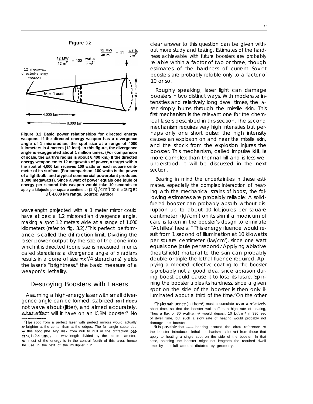

**Figure 3.2 Basic power relationships for directed energy weapons. If the directed energy weapon has a divergence angle of 1 microradian, the spot size at a range of 4000 kilometers is 4 meters (12 feet). In this figure, the divergence angle is exaggerated about 1 million times. (For comparison of scale, the Earth's radius is about 6,400 km,) If the directed energy weapon emits 12 megawatts of power, a target within the spot at 4,000 km receives 100 watts on each square centimeter of its surface. (For comparison, 100 watts is the power of a Iightbulb, and atypical commercial powerplant produces 1,000 megawatts). Since a watt of power equals one joule of energy per second this weapon would take 10 seconds to apply a kilojoule per square centimeter (1 KJ/cm<sup>2</sup>) to the larget** at **4,000 km range. Source: Author**

wavelength projected with a 1 meter mirror could have at best a 1.2 microradian divergence angle, making a spot 1.2 meters wide at a range of 1,000 kilometers (refer to fig. 3.2).<sup>1</sup> This perfect performance is called the diffraction limit. Dividing the laser power output by the size of the cone into which it is directed (cone size is measured in units called steradians; a divergence angle of x radians results in a cone of size  $\pi x^2/4$  steradians) yields the laser's "brightness," the basic measure of a weapon's lethality.

## Destroying Boosters with Lasers

Assuming a high-energy laser with small divergence angle can be formed, stabilized **so it does** not wave about (jitter), and aimed accurately, what effect will it have on an ICBM booster? No clear answer to this question can be given without more study and testing. Estimates of the hardness achievable with future boosters are probably reliable within a factor of two or three, though estimates of the hardness of current Soviet boosters are probably reliable only to a factor of 10 or so.

Roughly speaking, laser light can damage boosters in two distinct ways. With moderate intensities and relatively Iong dwell times, the *la*ser simply burns through the missile skin. This first mechanism is the relevant one for the chemical lasers described in this section. The second mechanism requires very high intensities but perhaps only one short pulse: the high intensity causes an explosion on and near the missile skin, and the shock from the explosion injures the booster. This mechanism, called impulse **kill, is** more complex than thermal kill and is less well understood. it will be discussed in the next section.

Bearing in mind the uncertainties in these estimates, especially the complex interaction of heating with the mechanical strains of boost, the following estimates are probably reliable: A solidfueled booster can probably absorb without disruption up to about 10 kilojoules per square centimeter (kJ/cm<sup>2</sup>) on its skin if a modicum of care is taken in the booster's design to eliminate "Achilles' heels. " This energy fluence would result from 1 second of illumination at 10 kilowatts per square centimeter (kw/cm<sup>2</sup>), since one watt equals one joule per second.<sup>2</sup> Applying ablative (heatshield) material to the skin can probably double or triple the lethal fluence required. Applying a mirrored reflective coating to the booster is probably not a good idea, since abrasion during boost could cause it to lose its Iustre. Spinning the booster triples its hardness, since a given spot on the side of the booster is then only illuminated about a third of the time.<sup>3</sup>On the other

<sup>&#</sup>x27;The spot from a perfect laser with perfect mirrors would actually >e brighter at the center than at the edges. The full angle subtended )y this spot (the Airy disk from null to null in the diffraction patern), is 2.4 times the wavelength divided by the mirror diameter, Jut most of the energy is in the central fourth of this area: hence he use in the text of the multiplier 1.2.

ZThe lethal fluence (in kJ/cmZ) must accumulate **over a relatively** short time, so that the booster wall suffers a high rate of heating, Thus a flux of 30 watts/ $cm<sup>2</sup>$  would deposit 10 kJ/ $cm<sup>2</sup>$  in 330 sec of dwell time, but such a slow rate of heating would probably not damage the booster.

<sup>&</sup>lt;sup>3</sup>It is possible that uniform heating around the circu reference of the booster introduces lethal mechanisms distinct from those that apply to heating a single spot on the side of the booster. In that case, spinning the booster might not lengthen the required dwell time by the full amount dictated by geometry.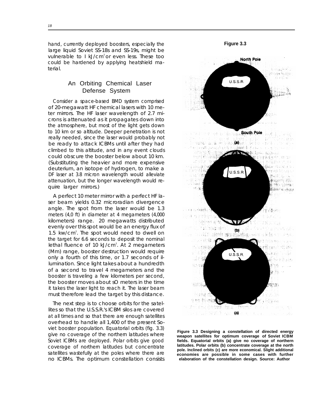hand, currently deployed boosters, especially the large liquid Soviet SS-18s and SS-19s, might be vulnerable to I kJ/cm<sup>2</sup> or even less. These too could be hardened by applying heatshield material.

## An Orbiting Chemical Laser Defense System

Consider a space-based BMD system comprised of 20-megawatt HF chemical lasers with 10 meter mirrors. The HF laser wavelength of 2.7 microns is attenuated as it propagates down into the atmosphere, but most of the light gets down to 10 km or so altitude. Deeper penetration is not really needed, since the laser would probably not be ready to attack ICBMs until after they had climbed to this altitude, and in any event clouds could obscure the booster below about 10 km. (Substituting the heavier and more expensive deuterium, an isotope of hydrogen, to make a DF laser at 3.8 micron wavelength would alleviate attenuation, but the longer wavelength would require larger mirrors.)

A perfect 10 meter mirror with a perfect HF laser beam yields 0.32 microradian divergence angle. The spot from the laser would be 1.3 meters (4,0 ft) in diameter at 4 megameters (4,000 kilometers) range. 20 megawatts distributed evenly over this spot would be an energy flux of 1.5 kw/cm<sup>2</sup>. The spot would need to dwell on the target for 6.6 seconds to deposit the nominal lethal fluence of 10 kJ/cm<sup>2</sup>. At 2 megameters (Mm) range, booster destruction would require only a fourth of this time, or 1.7 seconds of illumination. Since light takes about a hundredth of a second to travel 4 megameters and the booster is traveling a few kilometers per second, the booster moves about sO meters in the time it takes the laser light to reach it. The laser beam must therefore lead the target by this distance.

The next step is to choose orbits for the satellites so that the U.S.S.R.'s ICBM silos are covered at all times and so that there are enough satellites overhead to handle all 1,400 of the present Soviet booster population. Equatorial orbits (fig. 3.3) give no coverage of the northern latitudes where Soviet ICBMs are deployed. Polar orbits give good coverage of northern latitudes but concentrate satellites wastefully at the poles where there are no ICBMs. The optimum constellation consists



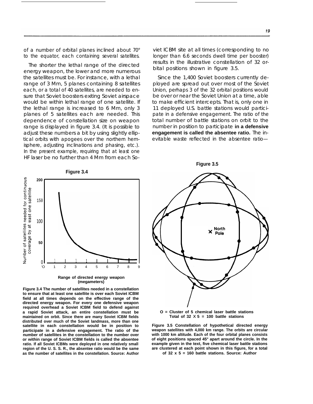of a number of orbital planes inclined about 70° to the equator, each containing several satellites.

The shorter the lethal range of the directed energy weapon, the lower and more numerous the satellites must be. For instance, with a lethal range of 3 Mm, 5 planes containing 8 satellites each, or a total of 40 satellites, are needed to ensure that Soviet boosters exiting Soviet airspace would be within lethal range of one satellite. If the lethal range is increased to 6 Mm, only 3 planes of 5 satellites each are needed. This dependence of constellation size on weapon range is displayed in figure 3.4. (It is possible to adjust these numbers a bit by using slightly elliptical orbits with apogees over the northern hemisphere, adjusting inclinations and phasing, etc.). In the present example, requiring that at least one HF laser be no further than 4 Mm from each Soviet ICBM site at all times (corresponding to no longer than 6.6 seconds dwell time per booster) results in the illustrative constellation of 32 orbital positions shown in figure 3.5.

Since the 1,400 Soviet boosters currently deployed are spread out over most of the Soviet Union, perhaps 3 of the 32 orbital positions would be over or near the Soviet Union at a time, able to make efficient intercepts. That is, only one in 11 deployed U.S. battle stations would participate in a defensive engagement. The ratio of the total number of battle stations on orbit to the number in position to participate **in a defensive engagement is called the absentee ratio.** The inevitable waste reflected in the absentee ratio—







**Figure 3.4 The number of satellites needed in a constellation to ensure that at least one satellite is over each Soviet ICBM field at all times depends on the effective range of the directed energy weapon. For every one defensive weapon required overhead a Soviet ICBM field to defend against a rapid Soviet attack, an entire constellation must be maintained on orbit. Since there are many Soviet ICBM fields distributed over much of the Soviet landmass, more than one satellite in each constellation would be in position to participate in a defensive engagement. The ratio of the number of satellites in the constellation to the number over or within range of Soviet ICBM fields is called the absentee ratio. If all Soviet ICBMs were deployed in one relatively small region of the U. S. S. R., the absentee ratio would be the same as the number of satellites in the constellation. Source: Author**



**O = Cluster of 5 chemical laser battle stations** Total of  $32 \times 5 = 100$  battle stations

**Figure 3.5 Constellation of hypothetical directed energy weapon satellites with 4,000 km range. The orbits are circular with 1000 km altitude. Each of the four orbital planes consists of eight positions spaced 45° apart around the circle. In the example given in the text, five chemical laser battle stations are clustered at each point shown in this figure, for a total**

**of 32 x 5 = 160 battle stations. Source: Author**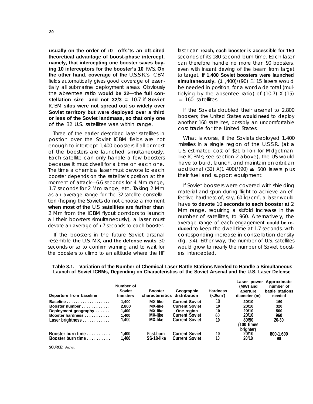**usually on the order of 10—offs<sup>e</sup> ts an oft-cited theoretical advantage of boost-phase intercept, namely, that intercepting one booster saves buying 10 interceptors for the booster's 10** RVS. **On the other hand, coverage of the** U.S.S.R.'s ICBM fields automatically gives good coverage of essentially all submarine deployment areas. Obviously the absentee ratio **would be 32—the full constellation size—and not 32/3 =** 10.7 if **Soviet** ICBM **silos were not spread out so widely over Soviet territory but were deployed over a third or less of the Soviet landmass, so that only one** of the 32 U.S. satellites was within range.

Three of the earlier described laser satellites in position over the Soviet ICBM fields are not enough to intercept 1,400 boosters if all or most of the boosters are launched simultaneously. Each satellite can only handle a few boosters because it must dwell for a time on each one. The time a chemical laser must devote to each booster depends on the satellite's position at the moment of attack—6.6 seconds for 4 Mm range, 1.7 seconds for 2 Mm range, etc. Taking 2 Mm as an average range for the 32-satellite constellation (hoping the Soviets do not choose a moment **when most of the** U.S. **satellites are farther than** 2 Mm from the ICBM flyout corridors to launch all their boosters simultaneously), a laser must devote an average of 1.7 seconds to each booster.

If the boosters in the future Soviet arsenal resemble **the** U.S. MX, **and the defense waits** 30 seconds or so to confirm warning and to wait for the boosters to climb to an altitude where the HF

laser can **reach, each booster is accessible for 150** seconds of its 180 second burn time. Each laser can therefore handle no more than 90 boosters, even with instant dewing of the beam from target to target. **If 1,400 Soviet boosters were launched simultaneously, (1**,400)/(90)  $\cong$  15 lasers would be needed in position, for a worldwide total (multiplying by the absentee ratio) of (10.7) X (15) = 160 satellites.

If the Soviets doubled their arsenal to 2,800 boosters, the United States **would need** to deploy another 160 satellites, possibly an uncomfortable cost trade for the United States.

What is worse, if the Soviets deployed 1,400 missiles in a single region of the U.S.S.R. (at a U.S.-estimated cost of \$21 billion for Midgetman-Iike ICBMs; see section 2 above), the US would have to build, launch, and maintain on orbit an additional (32)  $X(1\,400)/(90) \cong 500$  lasers plus their fuel and support equipment.

If Soviet boosters were covered with shielding material and spun during flight to achieve an effective hardness of, say, 60 kJ/cm<sup>2</sup>, a laser would have **to devote** 10 **seconds to each booster at** 2 Mm range, requiring a sixfold increase in the number of satellites, to 960. Alternatively, the average range of each engagement **could be reduced** to keep the dwell time at 1.7 seconds, with corresponding increase in constellation density (fig. 3.4). Either way, the number of U.S. satellites would grow to nearly the number of Soviet boosters intercepted.

| Departure from baseline                                       | Number of<br><b>Soviet</b><br>boosters | <b>Booster</b><br>characteristics distribution | Geographic                                     | <b>Hardness</b><br>(kJ/cm <sup>2</sup> ) | Laser power<br>(MW) and<br>aperture<br>diameter (m) | Approximate<br>number of<br>battle stations<br>needed |
|---------------------------------------------------------------|----------------------------------------|------------------------------------------------|------------------------------------------------|------------------------------------------|-----------------------------------------------------|-------------------------------------------------------|
|                                                               | 1.400                                  | <b>MX-like</b>                                 | <b>Current Soviet</b>                          | 10                                       | 20/10                                               | 160                                                   |
| Booster number                                                | 2.800                                  | <b>MX-like</b>                                 | <b>Current Soviet</b>                          | 10                                       | 20/10                                               | 320                                                   |
| Deployment geography                                          | 1.400                                  | <b>MX-like</b>                                 | One region                                     | 10                                       | 20/10                                               | 500                                                   |
| Booster hardness                                              | 1.400                                  | <b>MX-like</b>                                 | <b>Current Soviet</b>                          | 60                                       | 20/10                                               | 960                                                   |
| Laser brightness                                              | .400                                   | <b>MX-like</b>                                 | <b>Current Soviet</b>                          | 10                                       | 80/50<br>(100 times<br>brighter)                    | 20-30                                                 |
| Booster burn time<br>Booster burn time $\ldots \ldots \ldots$ | ,400<br>400                            | Fast-burn<br>SS-18-like                        | <b>Current Soviet</b><br><b>Current Soviet</b> | 10<br>10                                 | 20/10<br>20/10                                      | 800-1.600<br>90                                       |

**Table 3.1.—Variation of the Number of Chemical Laser Battle Stations Needed to Handle a Simultaneous Launch of Soviet ICBMs, Depending on Characteristics of the Soviet Arsenal and the U.S. Laser Defense**

**SOURCE:** Author.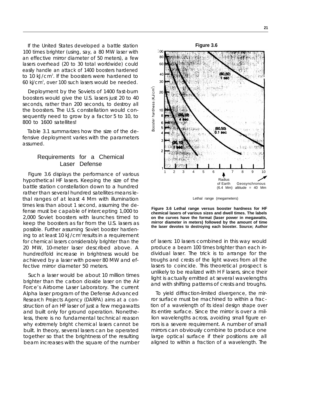If the United States developed a battle station 100 times brighter (using, say, a 80 MW laser with an effective mirror diameter of 50 meters), a few lasers overhead (20 to 30 total worldwide) could easily handle an attack of 1400 boosters hardened to 10 kJ/cm<sup>2</sup>. If the boosters were hardened to 60 kj/cm<sup>2</sup> , over 100 such lasers would be needed.

Deployment by the Soviets of 1400 fast-burn boosters would give the U.S. lasers just 20 to 40 seconds, rather than 200 seconds, to destroy all the boosters. The U.S. constellation would consequently need to grow by a factor 5 to 10, to 800 to 1600 satellites!

Table 3.1 summarizes how the size of the defensive deployment varies with the parameters assumed.

## Requirements for a Chemical Laser Defense

Figure 3.6 displays the performance of various hypothetical HF lasers. Keeping the size of the battle station constellation down to a hundred rather than several hundred satellites means lethal ranges of at least 4 Mm with illumination times less than about 1 second, assuming the defense must be capable of intercepting 1,000 to 2,000 Soviet boosters with launches timed to keep the boosters as far from the U.S. lasers as possible. Further assuming Soviet booster hardening to at least 10 kJ/cm<sup>2</sup> results in a requirement for chemical lasers considerably brighter than the 20 MW, 10-meter laser described above. A hundredfold increase in brightness would be achieved by a laser with power 80 MW and effective mirror diameter 50 meters.

Such a laser would be about 10 million times brighter than the carbon dioxide laser on the Air Force's Airborne Laser Laboratory. The current Alpha laser program of the Defense Advanced Research Projects Agency (DARPA) aims at a construction of an HF laser of just a few megawatts and built only for ground operation. Nonetheless, there is no fundamental technical reason why extremely bright chemical lasers cannot be built. In theory, several lasers can be operated together so that the brightness of the resulting beam increases with the square of the number



Lethal range (megameters)

**Figure 3.6 Lethal range versus booster hardness for HF chemical lasers of various sizes and dwell times. The labels on the curves have the format (laser power in megawatts, mirror diameter in meters) followed by the amount of time the laser devotes to destroying each booster. Source; Author**

of lasers: 10 lasers combined in this way would produce a beam 100 times brighter than each individual laser. The trick is to arrange for the troughs and crests of the light waves from all the lasers to coincide. This theoretical prospect is unlikely to be realized with H F lasers, since their light is actually emitted at several wavelengths and with shifting patterns of crests and troughs.

To yield diffraction-limited divergence, the mirror surface must be machined to within a fraction of a wavelength of its ideal design shape over its entire surface. Since the mirror is over a million wavelengths across, avoiding small figure errors is a severe requirement. A number of small mirrors can obviously combine to produce one large optical surface if their positions are all aligned to within a fraction of a wavelength. The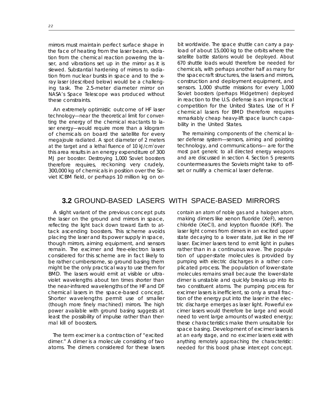mirrors must maintain perfect surface shape in the face of heating from the laser beam, vibration from the chemical reaction powering the laser, and vibrations set up in the mirror as it is slewed. Substantial hardening of mirrors to radiation from nuclear bursts in space and to the xray laser (described below) would be a challenging task. The 2.5-meter diameter mirror on NASA's Space Telescope was produced without these constraints.

An extremely optimistic outcome of HF laser technology—near the theoretical limit for converting the energy of the chemical reactants to laser energy—would require more than a kilogram of chemicals on board the satellite for every megajoule radiated. A spot diameter of 2 meters at the target and a lethal fluence of 10  $kJ/cm<sup>2</sup> over$ this area results in an energy expenditure of 300 MJ per booster. Destroying 1,000 Soviet boosters therefore requires, reckoning very crudely, 300,000 kg of chemicals in position over the Soviet ICBM field, or perhaps 10 million kg on or-

bit worldwide. The space shuttle can carry a payload of about 15,000 kg to the orbits where the satellite battle stations would be deployed. About 670 shuttle loads would therefore be needed for chemicals, with perhaps another half as many for the spacecraft structures, the lasers and mirrors, construction and deployment equipment, and sensors. 1,000 shuttle missions for every 1,000 Soviet boosters (perhaps Midgetmen) deployed in reaction to the U.S. defense is an impractical competition for the United States. Use of H F chemical lasers for BMD therefore requires remarkably cheap heavy-lift space launch capability in the United States.

The remaining components of the chemical laser defense system—sensors, aiming and pointing technology, and communications— are for the most part generic to all directed energy weapons and are discussed in section 4. Section 5 presents countermeasures the Soviets might take to offset or nullify a chemical laser defense.

## **3.2** GROUND-BASED LASERS WITH SPACE-BASED MIRRORS

A slight variant of the previous concept puts the laser on the ground and mirrors in space, reflecting the light back down toward Earth to attack ascending boosters. This scheme avoids placing the laser and its power supply in space, though mirrors, aiming equipment, and sensors remain. The excimer and free-electron lasers considered for this scheme are in fact likely to be rather cumbersome, so ground basing them might be the only practical way to use them for BMD. The lasers would emit at visible or ultraviolet wavelengths about ten times shorter than the near-infrared wavelengths of the HF and DF chemical lasers in the space-based concept. Shorter wavelengths permit use of smaller (though more finely machined) mirrors. The high power available with ground basing suggests at least the possibility of impulse rather than thermal kill of boosters.

The term excimer is a contraction of "excited dimer." A dimer is a molecule consisting of two atoms. The dimers considered for these lasers

contain an atom of noble gas and a halogen atom, making dimers like xenon fluoride (XeF), xenon chloride (XeCl), and krypton fluoride (KrF). The laser light comes from dimers in an excited upper state decaying to a lower state, just like in the HF laser. Excimer lasers tend to emit light in pulses rather than in a continuous wave. The population of upper-state molecules is provided by pumping with electric discharges in a rather complicated process. The population of lower-state molecules remains small because the lower-state dimer is unstable and quickly breaks up into its two constituent atoms. The pumping process for excimer lasers is inefficient, so only a small fraction of the energy put into the laser in the electric discharge emerges as laser light. Powerful excimer lasers would therefore be large and would need to vent large amounts of wasted energy; these characteristics make them unsuitable fot space basing. Development of excimer lasers is at an early stage, and no excimer lasers exist with anything remotely approaching the characteristic: needed for this boost phase intercept concept.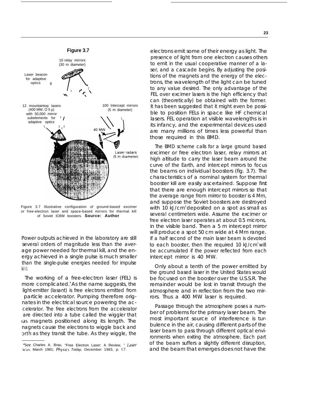

Figure 3.7 Illustrative configuration of ground-based excimer or free-electron laser and space-based mirrors for thermal kill of Soviet ICBM boosters. **Source: Author**

Power outputs achieved in the laboratory are still several orders of magnitude less than the average power needed for thermal kill, and the energy achieved in a single pulse is much smaller than the single-pulse energies needed for impulse ki I I.

The working of a free-electron laser (FEL) is more complicated.<sup>4</sup> As the name suggests, the light-emitter (Iasant) is free electrons emitted from particle accelerator. Pumping therefore orignates in the electrical source powering the accelerator. The free electrons from the accelerator are directed into a tube called the wiggler that Ias magnets positioned along its length. The nagnets cause the electrons to wiggle back and orth as they transit the tube. As they wiggle, the

electrons emit some of their energy as light. The presence of light from one electron causes others to emit in the usual cooperative manner of a laser, and a cascade begins. By adjusting the positions of the magnets and the energy of the electrons, the wavelength of the light can be tuned to any value desired. The only advantage of the FEL over excimer lasers is the high efficiency that can (theoretically) be obtained with the former. It has been suggested that it might even be possible to position FELs in space like HF chemical lasers. FEL operation at visible wavelengths is in its infancy, and the experimental devices used are many millions of times less powerful than those required in this BMD.

The BMD scheme calls for a large ground based excimer or free electron laser, relay mirrors at high altitude to carry the laser beam around the curve of the Earth, and intercept mirrors to focus the beams on individual boosters (fig. 3.7). The characteristics of a nominal system for thermal booster kill are easily ascertained. Suppose first that there are enough intercept mirrors so that the average range from mirror to booster is 4 Mm, and suppose the Soviet boosters are destroyed with 10 kJ/cm<sup>2</sup> deposited on a spot as small as several centimeters wide. Assume the excimer or free electron laser operates at about 0.5 microns, in the visible band. Then a 5 m intercept mirror will produce a spot 50 cm wide at 4 Mm range. If a half second of the main laser beam is devoted to each booster, then the required 10  $kJ/cm<sup>2</sup>$  will be accumulated if the power reflected from each intercept mirror is 40 MW.

Only about a tenth of the power emitted by the ground based laser in the United States would be focused on the booster over the U.S.S.R. The remainder would be lost in transit through the atmosphere and in reflection from the two mirrors. Thus a 400 MW laser is required.

Passage through the atmosphere poses a number of problems for the primary laser beam. The most important source of interference is turbulence in the air, causing different parts of the laser beam to pass through different optical environments when exiting the atmosphere. Each part of the beam suffers a slightly different disruption, and the beam that emerges does not have the

<sup>4</sup>See Charles A. Brau, "Free Electron Laser: A Review, " Laser ocus, March 1981; Physics Today, December 1983, p. 17.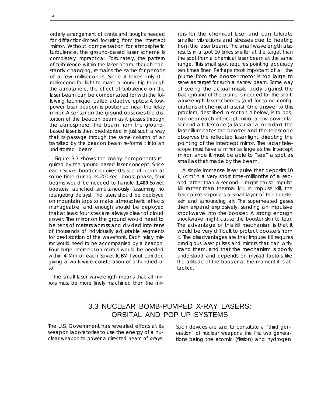orderly arrangement of crests and troughs needed for diffraction-limited focusing from the intercept mirror. Without compensation for atmospheric turbulence, the ground-based laser scheme is completely impractical. Fortunately, the pattern of turbulence within the laser beam, though constantly changing, remains the same for periods of a few milliseconds. Since it takes only 0.1 millisecond for light to make a round trip through the atmosphere, the effect of turbulence on the laser beam can be compensated for with the following technique, called adaptive optics: A lowpower laser beacon is positioned near the relay mirror. A sensor on the ground observes the distortion of the beacon beam as it passes through the atmosphere. The beam from the groundbased laser is then predistorted in just such a way that its passage through the same column of air transited by the beacon beam re-forms it into an undistorted beam.

Figure 3.7 shows the many components required by the ground-based laser concept. Since each Soviet booster requires 0.5 sec of beam at some time during its 200 sec. boost phase, four beams would be needed to handle **1,400** Soviet boosters launched simultaneously (assuming no retargeting delays), The lasers should be deployed on mountain tops to make atmospheric effects manageable, and enough should be deployed that at Ieast four sites are always clear of cloud cover. The mirror on the ground would need to be tens of meters across and divided into tens of thousands of individually adjustable segments for predistortion of the wavefront. Each relay mirror would need to be accompanied by a beacon. Four large interception mirrors would be needed within 4 Mm of each Soviet ICBM flyout corridor, giving a worldwide constellation of a hundred or so.

The small laser wavelength means that all mirrors must be more finely machined than the mir-

rors for the chemical laser and can tolerate smaller vibrations and stresses due to heating from the laser beam. The small wavelength also results in a spot 10 times smaller at the target than the spot from a chemical laser beam at the same range. This small spot requires pointing accuracy ten times finer. Perhaps most important of all, the plume from the booster motor is too large to serve as target for such a narrow beam. Some way of seeing the actual missile body against the background of the plume is needed for the shortwavelength laser schemes (and for some configurations of chemical lasers). One answer to this problem, described in section 4 below, is to position near each intercept mirror a low-power laser and a telescope (a laser radar or Iadar): the laser illuminates the booster and the telescope observes the reflected laser light, directing the pointing of the intercept mirror. The Iadar telescope must have a mirror as large as the intercept mirror, since it must be able to "see" a spot as small as that made by the beam.

A single immense laser pulse that deposits 10  $kJ/cm<sup>2</sup>$  in a very short time–millionths of a second rather than a second— might cause impulse kill rather than thermal kill, In impulse kill, the laser pulse vaporizes a small layer of the booster skin and surrounding air. The superheated gases then expand explosively, sending an impulsive shockwave into the booster. A strong enough shockwave might cause the booster skin to tear. The advantage of this kill mechanism is that it would be very difficult to protect boosters from it. The disadvantages are that impulse kill requires prodigious laser pulses and mirrors that can withstand them, and that the mechanism is poorly understood and depends on myriad factors like the altitude of the booster at the moment it is attacked.

## 3.3 NUCLEAR BOMB-PUMPED X-RAY LASERS: ORBITAL AND POP-UP SYSTEMS

The U.S. Government has revealed efforts at its Such devices are said to constitute a "third gen-

weapon laboratories to use the energy of a nu-<br>clear weapon to power a directed beam of x-rays. <br>tions being the atomic (fission) and hydrogen tions being the atomic (fission) and hydrogen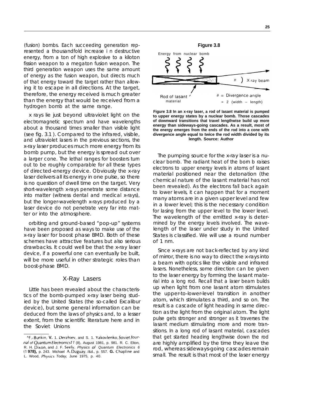(fusion) bombs. Each succeeding generation represented a thousandfold increase i n destructive energy, from a ton of high explosive to a kiloton fission weapon to a megaton fusion weapon. The third generation weapon uses the same amount of energy as the fusion weapon, but directs much of that energy toward the target rather than allowing it to escape in all directions. At the target, therefore, the energy received is much greater than the energy that would be received from a hydrogen bomb at the same range.

x rays lie just beyond ultraviolet light on the electromagnetic spectrum and have wavelengths about a thousand times smaller than visible light (see fig. 3.1 ). Compared to the infrared, visible, and ultraviolet lasers in the previous sections, the x-ray laser produces much more energy from its bomb pump, but the energy is spread out over a larger cone. The lethal ranges for boosters turn out to be roughly comparable for all these types of directed-energy device. Obviously the x-ray laser delivers all its energy in one pulse, so there is no question of dwell time on the target. Very short-wavelength x-rays penetrate some distance into matter (witness dental and medical x-rays), but the longer-wavelength x-rays produced by a laser device do not penetrate very far into matter or into the atmosphere.

orbiting and ground-based "pop-up" systems have been proposed as ways to make use of the x-ray laser for boost phase BMD. Both of these schemes have attractive features but also serious drawbacks. It could well be that the x-ray laser device, if a powerful one can eventually be built, will be more useful in other strategic roles than boost-phase BMD.

#### X-Ray Lasers

Little has been revealed about the characteristics of the bomb-pumped x-ray laser being studied by the United States (the so-called Excalibur device), but some general information can be deduced from the laws of physics and, to a lesser extent, from the scientific literature here and in the Soviet Unions



**Figure 3.8 In an x-ray laser, a rod of Iasant material is pumped to upper energy states by a nuclear bomb. Those cascades of downward transitions that travel lengthwise build up more energy than sideways-going cascades. As a result, most of the energy emerges from the ends of the rod into a cone with divergence angle equal to twice the rod width divided by its length. Source: Author**

The pumping source for the x-ray laser is a nuclear bomb. The radiant heat of the born b raises electrons to upper energy levels in atoms of Iasant material positioned near the detonation (the chemical nature of the Iasant material has not been revealed). As the electrons fall back again to lower levels, it can happen that for a moment many atoms are in a given upper level and few in a lower level; this is the necessary condition for Iasing from the upper level to the lower level. The wavelength of the emitted x-ray is determined by the energy levels involved. The wavelength of the laser under study in the United States is classified. We will use a round number of 1 nm.

Since x-rays are not back-reflected by any kind of mirror, there is no way to direct the x-rays into a beam with optics like the visible and infrared lasers. Nonetheless, some direction can be given to the laser energy by forming the Iasant material into a long rod. Recall that a laser beam builds up when light from one Iasant atom stimulates the upper-to-lower-level transition in another atom, which stimulates a third, and so on. The result is a cascade of light heading in same direction as the light from the original atom. The light pulse gets stronger and stronger as it traverses the Iasant medium stimulating more and more transitions. In a long rod of Iasant material, cascades that get started heading lengthwise down the rod are highly amplified by the time they leave the rod, whereas sideways-going cascades remain small. The result is that most of the laser energy

<sup>5</sup>F.<sub>v.</sub> Bunkin, V. 1. Derzhiev, and S. 1. Yakovlenko, Soviet Journal of Quantum Electronics 11 (8), August 1981, p. 981. R. C. Elton, R. H. Dixon, and J. F. Seely, Physics of Quantum Electronics 6 (1 **978),** p. 243. Michael A, Duguay, /&d., p. 557. **G.** Chapllne and L. Wood, Physics Today, June 1975, p. 40.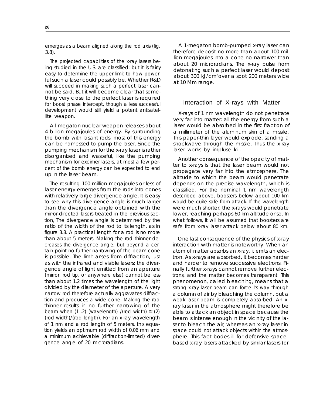emerges as a beam aligned along the rod axis (fig. 3.8).

The projected capabilities of the x-ray lasers being studied in the U.S. are classified; but it is fairly easy to determine the upper limit to how powerful such a laser could possibly be. Whether R&D will succeed in making such a perfect laser cannot be said. But it will become clear that something very close to the perfect laser is required for boost phase intercept, though a less successful development would still yield a potent antisatellite weapon.

A l-megaton nuclear weapon releases about 4 billion megajoules of energy. By surrounding the bomb with Iasant rods, most of this energy can be harnessed to pump the laser. Since the pumping mechanism for the x-ray laser is rather disorganized and wasteful, like the pumping mechanism for excimer lasers, at most a few percent of the bomb energy can be expected to end up in the laser beam.

The resulting 100 million megajoules or less of laser energy emerges from the rods into cones with relatively large divergence angle. It is easy to see why this divergence angle is much larger than the divergence angle obtained with the mirror-directed lasers treated in the previous section, The divergence angle is determined by the ratio of the width of the rod to its length, as in figure 3.8. A practical length for a rod is no more than about 5 meters. Making the rod thinner decreases the divergence angle, but beyond a certain point no further narrowing of the beam cone is possible. The limit arises from diffraction, just as with the infrared and visible lasers: the divergence angle of light emitted from an aperture (mirror, rod tip, or anywhere else) cannot be less than about 1.2 times the wavelength of the light divided by the diameter of the aperture. A very narrow rod therefore actually aggravates diffraction and produces a wide cone. Making the rod thinner results in no further narrowing of the beam when (1 .2) (wavelength) /(rod width)  $\cong$  (2) (rod width)/(rod length). For an x-ray wavelength of 1 nm and a rod length of 5 meters, this equation yields an optimum rod width of 0.06 mm and a minimum achievable (diffraction-limited) divergence angle of 20 microradians.

A 1-megaton bomb-pumped x-ray laser can therefore deposit no more than about 100 million megajoules into a cone no narrower than about 20 microradians. The x-ray pulse from detonating such a perfect laser would deposit about 300 kJ/cm<sup>2</sup>over a spot 200 meters wide at 10 Mm range.

#### Interaction of X-rays with Matter

X-rays of 1 nm wavelength do not penetrate very far into matter: all the energy from such a laser would be absorbed in the first fraction of a millimeter of the aluminum skin of a missile. This paper-thin layer would explode, sending a shockwave through the missile. Thus the x-ray laser works by impluse kill.

Another consequence of the opacity of matter to x-rays is that the laser beam would not propagate very far into the atmosphere. The altitude to which the beam would penetrate depends on the precise wavelength, which is classified. For the nominal 1 nm wavelength described above, boosters below about 100 km would be quite safe from attack. If the wavelength were much shorter, the x-rays would penetrate lower, reaching perhaps 60 km altitude or so. In what follows, it will be assumed that boosters are safe from x-ray laser attack below about 80 km.

One last consequence of the physics of x-ray interaction with matter is noteworthy. When an atom of matter absorbs an x-ray, it emits an electron. As x-rays are absorbed, it becomes harder and harder to remove successive electrons. Finally further x-rays cannot remove further electrons, and the matter becomes transparent. This phenomenon, called bleaching, means that a strong x-ray laser beam can force its way through a column of air by bleaching the column, but a weak laser beam is completely absorbed. An xray laser in the atmosphere might therefore be able to attack an object in space because the beam is intense enough in the vicinity of the laser to bleach the air, whereas an x-ray laser in space could not attack objects within the atmosphere. This fact bodes ill for defensive spacebased x-ray lasers attacked by similar lasers (or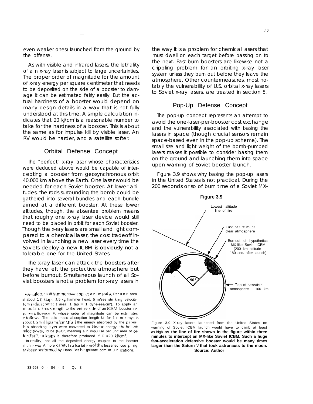even weaker ones) Iaunched from the ground by the offense.

—

As with visible and infrared lasers, the lethality of a n x-ray laser is subject to large uncertainties. The proper order of magnitude for the amount of x-ray energy per square centimeter that needs to be deposited on the side of a booster to damage it can be estimated fairly easiIy. But the actual hardness of a booster would depend on many design details in a way that is not fully understood at this time. A simple calculation indicates that 20 ki/cm<sup>2</sup> is a reasonable number to take for the hardness of a booster. This is about the same as for impulse kill by visible laser. An RV would be harder, and a satellite softer.

#### Orbital Defense Concept

The "perfect" x-ray laser whose characteristics were deduced above would be capable of intercepting a booster from geosynchronous orbit 40,000 km above the Earth. One laser would be needed for each Soviet booster. At lower altitudes, the rods surrounding the bomb could be gathered into several bundles and each bundle aimed at a different booster. At these lower altitudes, though, the absentee problem means that roughly one x-ray laser device would still need to be placed in orbit for each Soviet booster. Though the x-ray lasers are small and light compared to a chemical laser, the cost tradeoff involved in launching a new laser every time the Soviets deploy a new ICBM is obviously not a tolerable one for the United States.

The x-ray laser can attack the boosters after they have left the protective atmosphere but before burnout. Simultaneous launch of all Soviet boosters is not a problem for x-ray lasers in

In reality, not all the deposited energy couples to the booster n t h is way A more careful calcu tat ion of this lessened coupling 1asbeen performed by Hans Bet he (private com m u n Ication).

the way it is a problem for chemical lasers that must dwell on each target before passing on to the next. Fast-burn boosters are Iikewise not a crippling problem for an orbiting x-ray laser system *unless* they burn out before they leave the atmosphere, Other countermeasures, most notably the vuInerability of U.S. orbital x-ray lasers to Soviet x-ray lasers, are treated in section 5.

## Pop-Up Defense Concept

The pop-up concept represents an attempt to avoid the one-laser-per-booster cost exchange and the vulnerability associated with basing the lasers in space (though crucial sensors remain space-based even in the pop-up scheme). The small size and light weight of the bomb-pumped lasers makes it possible to consider basing them on the ground and launching them into space upon warning of Soviet booster launch.

Figure 3.9 shows why basing the pop-up lasers in the United States is not practical. During the 200 seconds or so of burn time of a Soviet MX-



Figure 3.9 X-ray lasers launched from the United States on warning of Soviet ICBM launch would have to climb at least as high **as the line of fire shown in the figure within three minutes to intercept an MX-like Soviet ICBM. Such a huge fast-acceleration defensive booster would be many times larger than the Saturn** V **that took astronauts to the moon. Source: Author**

**I**,  $h_{A \mid \text{M}}$  letor softhammer blow applies a n im pulse Per un it area Dt about 1 () ktaps(0, 5 kg hammer head, 5 m/see stri king velocity,  $3$  cm radius contact area; 1 tap = 1 dyne-see/cm'). To apply an m pulse of this strength to the entire side of an ICBM booster relulres a fluence F, whose order of magnitude can be estimated is follows: The cold mass absorption length (a) for 1 n m x-rays is ~ bout () 5 m I <sup>I</sup> <sup>I</sup> lgrams/cm2. If a <sup>I</sup> I the energy absorbed by the paperhin absorbing layer were converted to kinetic energy, the boil-off /elocity wou Id be (F/a)", meaning a n impu Ise per unit area of or- $\text{der}(\mathsf{Fa})^{\frac{1}{2}}$ , 10 ktaps is therefore produced if F =20 kJ/cm<sup>2</sup>,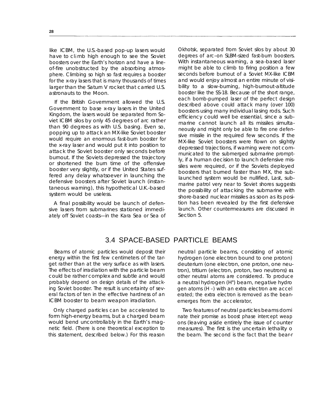like ICBM, the U.S.-based pop-up lasers would have to cl mb high enough to see the Soviet boosters over the Earth's horizon and have a lineof-fire unobstructed by the absorbing atmosphere. Climbing so high so fast requires a booster for the x-ray lasers that is many thousands of times larger than the Saturn V rocket that carried U.S. astronauts to the Moon.

If the British Government allowed the U.S. Government to base x-ray lasers in the United Kingdom, the lasers would be separated from Soviet ICBM silos by only 45 degrees of arc rather than 90 degrees as with U.S. basing. Even so, popping up to attack an MX-like Soviet booster would require an enormous fast-burn booster for the x-ray laser and would put it into position to attack the Soviet booster only seconds before burnout. If the Soviets depressed the trajectory or shortened the burn time of the offensive booster very slightly, or if the United States suffered any delay whatsoever in launching the defensive boosters after Soviet launch (instantaneous warning), this hypothetical U.K.-based system would be useless.

A final possibility would be launch of defensive lasers from submarines stationed immediately off Soviet coasts—in the Kara Sea or Sea of Okhotsk, separated from Soviet silos by about 30 degrees of arc–on SLBM-sized fast-burn boosters. With instantaneous warning, a sea-based laser might be able to climb to firing position a few seconds before burnout of a Soviet MX-like ICBM and would enjoy almost an entire minute of visibility to a slow-burning, high-burnout-altitude booster like the SS-18. Because of the short range, each bomb-pumped laser of the perfect design described above could attack many (over 100) boosters using many individual Iasing rods. Such efficiency could well be essential, since a submarine cannot launch all its missiles simultaneously and might only be able to fire one defensive missile in the required few seconds. If the MX-like Soviet boosters were flown on slightly depressed trajections, if warning were not communicated to the submerged submarine promptly, if a human decision to launch defensive missiles were required, or if the Soviets deployed boosters that burned faster than MX, the sub-Iaunched system would be nullified, Last, submarine patrol very near to Soviet shores suggests the possibility of attacking the submarine with shore-based nuclear missiles as soon as its position has been revealed by the first defensive launch. Other countermeasures are discussed in Section 5.

## 3.4 SPACE-BASED PARTICLE BEAMS

Beams of atomic particles would deposit their energy within the first few centimeters of the target rather than at the very surface as with lasers. The effects of irradiation with the particle beam could be rather complex and subtle and would probably depend on design details of the attacking Soviet booster. The result is uncertainty of several factors of ten in the effective hardness of an ICBM booster to beam weapon irradiation.

Only charged particles can be accelerated to Two features of neutral particles beams domi form high-energy beams, but a charged beam ate their promise as boost phase intercept weap would bend uncontrollably in the Earth's mag- ons (leaving aside entirely the issue of counter netic field. (There is one theoretical exception to measures). The first is the uncertain lethality o

neutral particle beams, consisting of atomic hydrogen (one electron bound to one proton) deuterium (one electron, one proton, one neutron), tritium (electron, proton, two neutrons) **01** other neutral atoms are considered. To produce a neutral hydrogen (H°) beam, negative hydro gen atoms (H –) with an extra electron are accel erated; the extra electron is removed as the beanemerges from the accelerator,

this statement, described below.) For this reason the beam. The second is the fact that the bear-r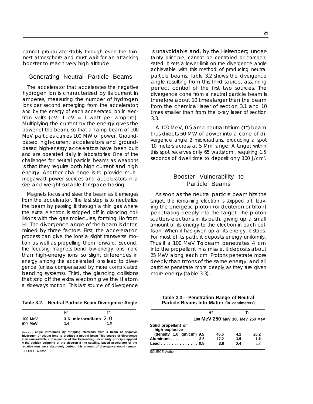cannot propagate stably through even the thinnest atmosphere and must wait for an attacking booster to reach very high altitude.

#### Generating Neutral Particle Beams

The accelerator that accelerates the negative hydrogen ion is characterized by its current in amperes, measuring the number of hydrogen ions per second emerging from the accelerator; and by the energy of each accelerated ion in electron volts (eV;  $1 \text{ eV} = 1$  watt per ampere). Multiplying the current by the energy gives the power of the beam, so that a l-amp beam of 100 MeV particles carries 100 MW of power. Groundbased high-current accelerators and groundbased high-energy accelerators have been built and are operated daily in laboratories. One of the challenges for neutral particle beams as weapons is that they require both high current and high energy. Another challenge is to provide multimegawatt power sources and accelerators in a size and weight suitable for space basing.

Magnets focus and steer the beam as it emerges from the accelerator. The last step is to neutralize the beam by passing it through a thin gas where the extra electron is stripped off in glancing collisions with the gas molecules, forming HO from H-. The divergence angle of the beam is determined by three factors. First, the acceleration process can give the ions a slight transverse motion as well as propelling them forward. Second, the focusing magnets bend low-energy ions more than high-energy ions, so slight differences in energy among the accelerated ions lead to divergence (unless compensated by more complicated bending systems). Third, the glancing collisions that strip off the extra electron give the H atom a sideways motion. This last source of divergence

| Table 3.2.—Neutral Particle Beam Divergence Angle |  |  |  |
|---------------------------------------------------|--|--|--|
|---------------------------------------------------|--|--|--|

|                      | Н"                            | т"  |
|----------------------|-------------------------------|-----|
| 100 MeV<br>$500$ MeV | 3.6 microradians $2.0$<br>1.4 | 1 N |

Divergence **angle introduced by stripping electrons from a beam of negative hIydrogen or tritium ions to produce a neutral beam This source of divergence j an unavoidable consequence of the Heisenberg uncertainty principle applied o the sudden stripping of the electron If the satellite. based accelerator of the egative tons were absolutely perfect, this amount of divergence would remain** SOURCE Author SOURCE Author SOURCE Author SOURCE Author

is unavoidable and, by the Heisenberg uncertainty principle, cannot be controlled or compensated. It sets a lower limit on the divergence angle achievable with this method of producing neutral particle beams. Table 3.2 shows the divergence angle resulting from this third source, assuming perfect control of the first two sources. The divergence cone from a neutral particle beam is therefore about 10 times larger than the beam from the chemical laser of section 3.1 and 10 times smaller than from the x-ray laser of section 3.3.

A 100 MeV, 0.5 amp neutral tritium **(T°)** beam thus directs 50 MW of power into a cone of divergence angle 2 microradians, producing a spot 10 meters across at 5 Mm range. A target within this spot receives only 65 watts/ $\text{cm}^2$ , requiring 1.5 seconds of dwell time to deposit only 100 J/cm<sup>2</sup>.

### Booster Vulnerability to Particle Beams

As soon as the neutral particle beam hits the target, the remaining electron is stripped off, leaving the energetic proton (or deuteron or triton) penetrating deeply into the target. The proton scatters electrons in its path, giving up a small amount of its energy to the electron in each collision. When it has given up all its energy, it stops. For most of its path, it deposits energy uniformly. Thus if a 100 MeV **TO** beam penetrates 4 cm into the propellant in a missile, it deposits about 25 MeV along each cm. Protons penetrate more deeply than tritons of the same energy, and all particles penetrate more deeply as they are given more energy (table 3.3).

| Table 3.3.-Penetration Range of Neutral     |  |
|---------------------------------------------|--|
| Particle Beams Into Matter (in centimeters) |  |

|                                                 | н"  |      |     | Т٥                              |  |
|-------------------------------------------------|-----|------|-----|---------------------------------|--|
|                                                 |     |      |     | 100 MeV 250 MeV 100 MeV 250 MeV |  |
| Solid propellant or                             |     |      |     |                                 |  |
| high explosive                                  |     |      |     |                                 |  |
| (density $1.0 \,$ qm/cm <sup>3</sup> ) $9.5 \,$ |     | 46.6 | 4.2 | 20.2                            |  |
| Aluminum                                        | 3.5 | 17.2 | 1.6 | 7.6                             |  |
| Lead 0.8                                        |     | 3.9  | 0.4 | 1.7                             |  |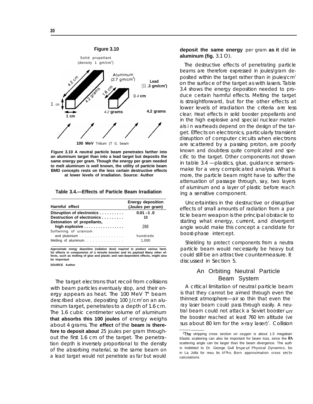

**Figure 3.10 A neutral particle beam penetrates farther into an aluminum target than into a lead target but deposits the same energy per gram. Though the energy per gram needed to melt aluminum is well known, the utility of particle beam BMD concepts rests on the less certain destructive effects at lower levels of irradiation. Source: Author**

**Table 3.4.—Effects of Particle Beam Irradiation**

| Harmful effect                                                                        | <b>Energy deposition</b><br>(Joules per gram) |
|---------------------------------------------------------------------------------------|-----------------------------------------------|
| Disruption of electronics<br>Destruction of electronics<br>Detonation of propellants, | $0.01 - 1.0$<br>10                            |
| high explosive<br>Softening of uranium                                                | 200                                           |
| and plutonium<br>Melting of aluminum.                                                 | hundreds<br>1.000                             |

**Approximate energy deposition (radiation dose) required to produce various harm. ful effects in components of a missile booster and its payload Many other effects, such as melting of glue and plastic and rate-dependent effects, might also be Important SOURCE Author**

The target electrons that recoil from collisions with beam particles eventualy stop, and their energy appears as heat. The 100 MeV T° beam described above, depositing  $100$  J/cm<sup>2</sup> on an aluminum target, penetrates to a depth of 1.6 cm. The 1.6 cubic centimeter volume of aluminum **that absorbs this 100 joules** of energy weighs about 4 grams. The **effect** of the **beam is therefore to deposit about** 25 joules per gram throughout the first 1.6 cm of the target. The penetration depth is inversely proportional to the density of the absorbing material, so the same beam on a lead target would not penetrate as far but would

#### **deposit the same energy** *per gram* **as it** did **in aluminum (fig.** 3.1 O).

The destructive effects of penetrating particle beams are therefore expressed in joules/gram deposited within the target rather than in joules/ $\text{cm}^2$ on the surface of the target as with lasers. Table 3.4 shows the energy deposition needed to produce certain harmful effects. Melting the target is straightforward, but for the other effects at lower levels of irradiation the criteria are less clear. Heat effects in solid booster propellants and in the high explosive and special nuclear materials i n warheads depend on the design of the target. Effects on electronics, particularly transient disruption of computer circuits when electrons are scattered by a passing proton, are poorly known and doubtless quite complicated and specific to the target. Other components not shown in table 3.4 —plastics, glue, guidance sensors– make for a very complicated analysis. What is more, the particle beam might have to suffer the attenuation of passage through, say, two layers of aluminum and a layer of plastic before reach ing a sensitive component.

Uncertainties in the destructive or disruptive effects of small amounts of radiation from a par ticle beam weapon is the principal obstacle to stating what energy, current, and divergent angle would make this concept a candidate for boost-phase intercept.

Shielding to protect components from a neutra particle beam would necessarily be heavy but could still be an attractive countermeasure. It discussed in Section 5.

## An Orbiting Neutral Particle Beam System

A critical limitation of neutral particle beam is that they cannot be aimed through even the thinnest atmosphere—air so thin that even the <sup>~</sup> ray laser beam could pass through easily. A neutral beam could not attack a Soviet booster unt the booster reached at least 760 km altitude (ve sus about 80 km for the x-ray laser)<sup>7</sup>. Collision

The stripping cross section on oxygen is about 1.5 megabarr Elastic scattering can also be important for beam loss, since the  $R\Lambda$ scattering angle can be larger than the beam divergence. The auth is Indebted to Dr. George Gull lespe of Physical Dynamics, Inc. in La Jolla for resu Its of his Born approximation cross section calculations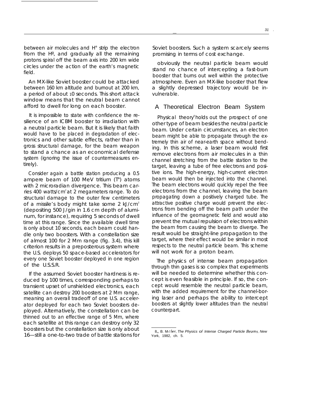between air molecules and H° strip the electron from the Hº, and gradually all the remaining protons spiral off the beam axis into 200 km wide circles under the action of the earth's magnetic field.

An MX-like Soviet booster could be attacked between 160 km altitude and burnout at 200 km, a period of about 10 seconds. This short attack window means that the neutral beam cannot afford to dwell for long on each booster.

It is impossible to state with confidence the resilience of an ICBM booster to irradiation with a neutral particle beam. But it is likely that faith would have to be placed in degradation of electronics and other subtle effects, rather than in gross structural damage, for the beam weapon to stand a chance as an economical defense system (ignoring the issue of countermeasures entirely).

Consider again a battle station producing a 0.5 ampere beam of 100 MeV tritium (T°) atoms with 2 microradian divergence. This beam carries 400 watts/cm<sup>2</sup> at 2 megameters range. To do structural damage to the outer few centimeters of a missile's body might take some 2 kJ/cm<sup>2</sup> (depositing 500 J/gin in 1.6 cm depth of aluminum, for instance), requiring 5 seconds of dwell time at this range. Since the available dwell time is only about 10 seconds, each beam could handle only two boosters. With a constellation size of almost 100 for 2 Mm range (fig. 3.4), this kill criterion results in a preposterous system where the U.S. deploys 50 space-based accelerators for every one Soviet booster deployed in one region of the U.S.S.R.

If the assumed Soviet booster hardness is reduced by 100 times, corresponding perhaps to transient upset of unshielded electronics, each satellite can destroy 200 boosters at 2 Mm range, meaning an overall tradeoff of one U.S. accelerator deployed for each two Soviet boosters deployed. Alternatively, the constellation can be thinned out to an effective range of 5 Mm, where each satellite at this range can destroy only 32 boosters but the constellation size is only about 16—still a one-to-two trade of battle stations for Soviet boosters. Such a system scarcely seems promising in terms of cost exchange.

—

obviously the neutral particle beam would stand no chance of intercepting a fast-burn booster that burns out well within the protective atmosphere. Even an MX-like booster that flew a slightly depressed trajectory wouId be invulnerable.

#### A Theoretical Electron Beam System

Physical theory<sup>8</sup>holds out the prospect of one other type of beam besides the neutral particle beam. Under certain circumstances, an electron beam might be able to propagate through the extremely thin air of near-earth space without bending. In this scheme, a laser beam would first remove electrons from air molecules in a thin channel stretching from the battle station to the target, leaving a tube of free electrons and positive ions. The high-energy, high-current electron beam would then be injected into the channel. The beam electrons would quickly repel the free electrons from the channel, leaving the beam propagating down a positively charged tube. The attractive positive charge would prevent the electrons from bending off the beam path under the influence of the geomagnetic field and would also prevent the mutual repulsion of electrons within the beam from causing the beam to diverge. The result would be straight-line propagation to the target, where their effect would be similar in most respects to the neutral particle beam. This scheme will not work for a proton beam.

The physics of intense beam propagation through thin gases is so complex that experiments will be needed to determine whether this concept is even feasible in principle. If so, the concept would resemble the neutral particle beam, with the added requirement for the channel-boring laser and perhaps the ability to intercept boosters at slightly lower altitudes than the neutral counterpart.

 $8_{\scriptscriptstyle{\text{R}}}$ , B. Miller, The Physics of Intense Charged Particle  $Beams$ , New York, 1982, ch. 5.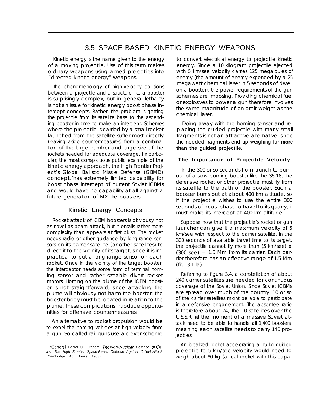## 3.5 SPACE-BASED KINETIC ENERGY WEAPONS

Kinetic energy is the name given to the energy of a moving projectile. Use of this term makes ordinary weapons using aimed projectiles into "directed kinetic energy" weapons.

The phenomenology of high-velocity collisions between a projectile and a structure like a booster is surprisingly complex, but in general lethality is not an issue for kinetic energy boost phase intercept concepts. Rather, the problem is getting the projectile from its satellite base to the ascending booster in time to make an intercept. Schemes where the projectile is carried by a small rocket launched from the satellite suffer most directly (leaving aside countermeasures) from a combination of the large number and large size of the rockets needed for adequate coverage. **I n** particular, the most conspicuous public example of the kinetic energy approach, the High Frontier Project's Global Ballistic Missile Defense (GBMD) concept, has extremely limited capability for boost phase intercept of current Soviet ICBMs and would have no capability at all against a future generation of MX-like boosters.

## Kinetic Energy Concepts

Rocket attack of ICBM boosters is obviously not as novel as beam attack, but it entails rather more complexity than appears at first blush. The rocket needs radio or other guidance by long-range sensors on its carrier satellite (or other satellites) to direct it to the vicinity of its target, since it is impractical to put a long-range sensor on each rocket. Once in the vicinity of the target booster, the interceptor needs some form of terminal homing sensor and rather sizeable divert rocket motors. Homing on the plume of the ICBM booster is not straightforward, since attacking the plume will obviously not harm the booster: the booster body must be located in relation to the plume. These complications introduce opportunities for offensive countermeasures.

An alternative to rocket propulsion would be to expel the homing vehicles at high velocity from a gun. So-called rail guns use a clever scheme

to convert electrical energy to projectile kinetic energy. Since a 10 kilogram projectile ejected with 5 km/see velocity carries 125 megajoules of energy (the amount of energy expended by a 25 megawatt chemical laser in 5 seconds of dwell on a booster), the power requirements of the gun schemes are imposing. Providing chemical fuel or explosives to power a gun therefore involves the same magnitude of on-orbit weight as the chemical laser.

Doing away with the homing sensor and replacing the guided projectile with many small fragments is not an attractive alternative, since the needed fragments end up weighing far **more than the guided projectile.**

#### **The Importance of Projectile Velocity**

In the 300 or so seconds from launch to burnout of a slow-burning booster like the SS-18, the defensive rocket or other projectile must fly from its satellite to the path of the booster. Such a booster burns out at about 400 km altitude, so if the projectile wishes to use the entire 300 seconds of boost phase to travel to its quarry, it must make its intercept at 400 km altitude.

Suppose now that the projectile's rocket or gun launcher can give it a maximum velocity of 5 km/see with respect to the carrier satellite. In the 300 seconds of available travel time to its target, the projectile cannot fly more than (5 km/see) **x** (300 see) = 1.5 Mm from its carrier. Each carrier therefore has an effective range of 1.5 Mm (fig. 3.1 la).

Referring to figure 3.4, a constellation of about 240 carrier satellites are needed for continuous coverage of the Soviet Union. Since Soviet ICBMs are spread over much of the country, 10 or so of the carrier satellites might be able to participate in a defensive engagement. The absentee ratio is therefore about 24, The 10 satellites over the U.S.S.R. **at** the moment of a massive Soviet attack need to be able to handle all 1,400 boosters, meaning each satellite needs to carry 140 projectiles.

An idealized rocket accelerating a 15 kg guided projectile to 5 km/see velocity would need to weigh about 80 kg (a real rocket with this capa-

<sup>&</sup>lt;sup>9</sup>General Daniel O. Graham, The Non-Nuclear Defense of Cities: The High Frontier Space-Based Defense Against ICBM Attack (Cambridge: Abt Books, 1983).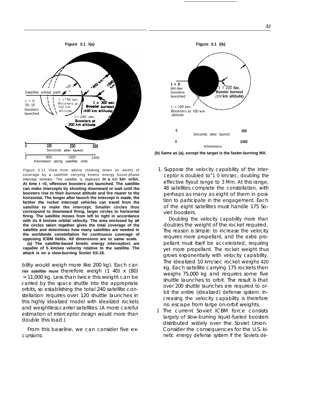

Figure 3.11 View from above (looking down on earth) of coverage by a satellite carrying kinetic energy boost-phase intercept vehicles. The satellite is deployed **in a** 400 **km orbit. At time t =0, offensive boosters are launched. The satellite can make intercepts by shooting downward or wait until the boosters rise to their burnout altitude and fire nearer to the horizontal. The longer after launch the intercept is made, the farther the rocket intercept vehicles can travel from the satellite to make the intercept. Smaller circles thus correspond to downward firing, larger circles to horizontal firing. The satellite moves from left to right in accordance with its 8 km/see orbital velocity. The area enclosed by all the circles taken together gives the total coverage of the satellite and determines how many satellites are needed in the worldwide constellation for continuous coverage of opposing ICBM fields. All dimensions are to same scale.**

**(a) The satellite-based kinetic energy interceptors are capable of 5 km/see velocity relative to the satellite. The attack is on a slow-burning Soviet SS-18.**

bility would weigh more like 200 kg). Each car**rier satellite must** therefore weigh (1 40) x (80) = 11,000 kg. Less than twice this weight can be carried by the space shuttle into the appropriate orbits, so establishing the total 240 satellite constellation requires over 120 shuttle launches in this highly idealized model with idealized rockets and weightless carrier satellites. (A more careful estimation of interceptor design would more than double this load.)

From this baseline, we can consider five excursions:



**(b) Same as (a), except the target is the faster-burning MX.**

1. Suppose the velocity capability of the interceptor is doubled to"1 0 km/sec, doubling the effective flyout range to 3 Mm. At this range, 48 satellites complete the constellation, with perhaps as many as eight of them in position to participate in the engagement. Each of the eight satellites must handle 175 Soviet boosters.

Doubling the velocity capability more than doubles the weight of the rocket required. The reason is simple: to increase the velocity requires more propellant, and the extra propellant must itself be accelerated, requiring yet more propellant. The rocket weight thus grows exponentially with velocity capability. The idealized 10 km/sec rocket weighs *420* kg. Each satellite carrying 175 rockets then weighs 75,000 kg and requires some five shuttle launches to orbit. The result is that over 200 shuttle launches are required to orbit the entire (idealized) defense system. Increasing the velocity capability is therefore no escape from large on-orbit weights.

2 The current Soviet ICBM force consists largely of slow-burning liquid-fueled boosters distributed widely over the Soviet Union. Consider the consequences for the U.S. kinetic energy defense system if the Soviets de-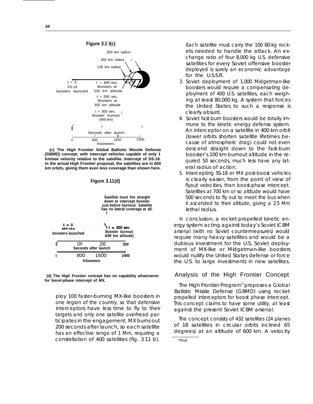

**(c) The High Frontier Global Ballistic Missile Defense (GBMD) concept, with intercept vehicles capable of only 1 km/see velocity relative to the satellite. Intercept of SS-18. In the actual High Frontier proposal, the satellites are in 600 km orbits, giving them even less coverage than shown here.**



**(d) The High Frontier concept has no capability whatsoever for boost-phase intercept of MX.**

ploy 100 faster-burning MX-like boosters in one region of the country, so that defensive interceptors have less time to fly to their targets and only one satellite overhead participates in the engagement. MX burns out 200 seconds after launch, so each satellite has an effective range of 1 Mm, requiring a constellation of 400 satellites (fig. 3.11 b).

Each satellite must carry the 100 80-kg rockets needed to handle the attack. An exchange ratio of four 8,000 kg U.S. defensive satellites for every Soviet offensive booster deployed is surely an economic advantage for the U.S.S.R.

- 3. Soviet deployment of 1,000 Midgetman-like boosters would require a compensating deployment of 400 U.S. satellites, each weighing at least 80,000 kg. A system that forces the United States to such a response is clearly absurd.
- 4. Soviet fast-burn boosters would be totally immune to the kinetic energy defense system. An interceptor on a satellite in 400 km orbit (lower orbits shorten satellite lifetimes because of atmospheric drag) could not even descend straight down to the fast-burn booster's 100 km burnout altitude in the required 50 seconds, much less have any lateral radius of action.
- 5. Intercepting SS-18 or MX post-boost vehicles is clearly easier, from the point of view of flyout velocities, than boost-phase intercept. Satellites at 700 km or so altitude would have 500 seconds to fly out to meet the bus when it ascended to their altitude, giving a 2.5 Mm lethal radius.

In conclusion, a rocket-propelled kinetic energy system acting against today's Soviet ICBM arsenal (with no Soviet countermeasures) would require many heavy satellites and would be a dubious investment for the U.S. Soviet deployment of MX-like or Midgetman-like boosters would nullify the United States defense or force the U.S. to large investments in new satellites.

## Analysis of the High Frontier Concept

The High Frontier Program<sup>10</sup> proposes a Global Ballistic Missile Defense (GBMD) using rocket propelled interceptors for boost phase intercept. This concept claims to have some utility, at least against the present Soviet ICBM arsenal.

The concept consists of 432 satellites (24 planes of 18 satellites in circular orbits inclined 65 degrees) at an altitude of 600 km. A velocity

IOlbld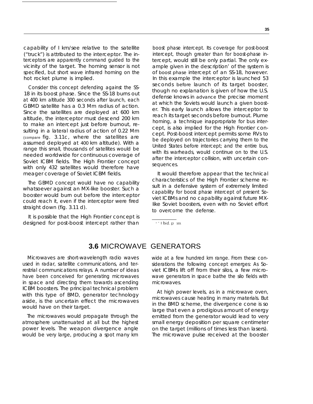capability of I km/see relative to the satellite ("truck") is attributed to the interceptor. The interceptors are apparently command guided to the vicinity of the target. The homing sensor is not specified, but short wave infrared homing on the hot rocket plume is implied.

Consider this concept defending against the SS-18 in its boost phase. Since the SS-18 burns out at 400 km altitude 300 seconds after launch, each GBMD satellite has a 0.3 Mm radius of action. Since the satellites are deployed at 600 km altitude, the interceptor must descend 200 km to make an intercept just before burnout, resulting in a lateral radius of action of 0.22 Mm (compare fig. 3.11c, where the satellites are assumed deployed at *400* km altitude). With a range this small, thousands of satellites would be needed worldwide for continuous coverage of Soviet ICBM fields. The High Frontier concept with only 432 satellites would therefore have meager coverage of Soviet ICBM fields.

The GBMD concept would have no capability whatsoever against an MX-like booster. Such a booster would burn out before the interceptor could reach it, even if the interceptor were fired straight down (fig. 3.11 d).

It is possible that the High Frontier concept is designed for post-boost intercept rather than

boost phase intercept. Its coverage for post-boost intercept, though greater than for boost-phase intercept, would still be only partial. The only example given in the description' of the system is of *boost phase* intercept of an SS-18, however. In this example the interceptor is launched 53 seconds *before* launch of its target booster, though no explanation is given of how the U.S. defense knows in *advance* the precise moment at which the Soviets would launch a given booster. This early launch allows the interceptor to reach its target seconds before burnout. Plume homing, a technique inappropriate for bus intercept, is also implied for the High Frontier concept. Post-boost intercept permits some RVs to be deployed on trajectories carrying them to the United States before intercept; and the entire bus, with its warheads, would continue on to the U.S. after the interceptor collision, with uncertain consequences.

It would therefore appear that the technical characteristics of the High Frontier scheme result in a defensive system of extremely limited capability for boost phase intercept of present Soviet ICBMs and no capability against future MX-Iike Soviet boosters, even with no Soviet effort to overcome the defense.

**'** ' I bld , p 103.

## **3.6** MICROWAVE GENERATORS

Microwaves are short-wavelength radio waves used in radar, satellite communications, and terrestrial communications relays. A number of ideas have been conceived for generating microwaves in space and directing them towards ascending ICBM boosters. The principal technical problem with this type of BMD, generator technology aside, is the uncertain effect the microwaves would have on their target.

The microwaves would propagate through the atmosphere unattenuated at all but the highest power levels. The weapon divergence angle would be very large, producing a spot many km wide at a few hundred km range. From these considerations the following concept emerges: As Soviet ICBMs lift off from their silos, a few microwave generators in space bathe the silo fields with microwaves.

At high power levels, as in a microwave oven, microwaves cause heating in many materials. But in the BMD scheme, the divergence cone is so large that even a prodigious amount of energy emitted from the generator would lead to very small energy deposition per square centimeter on the target (millions of times less than lasers). The microwave pulse received at the booster